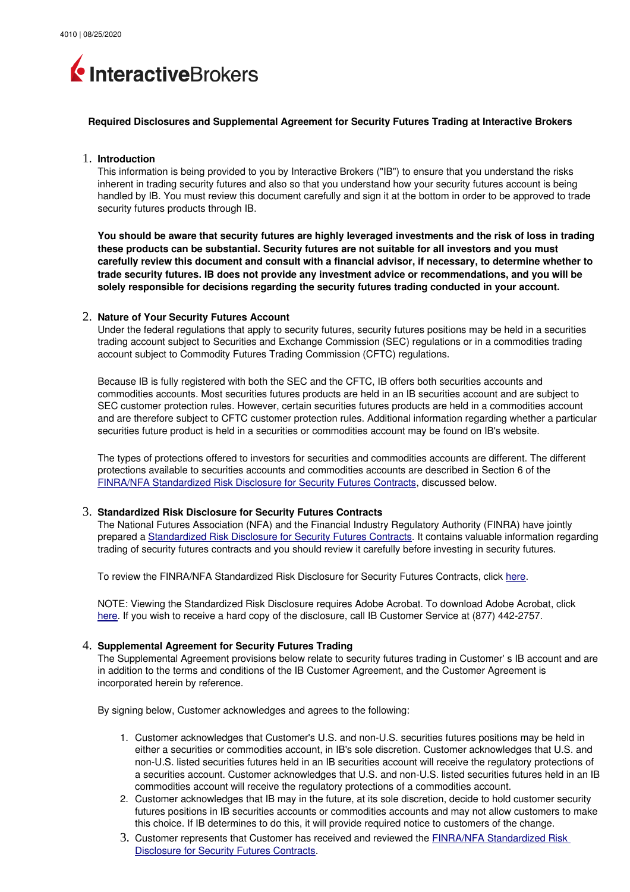

#### **Required Disclosures and Supplemental Agreement for Security Futures Trading at Interactive Brokers**

# 1. **Introduction**

This information is being provided to you by Interactive Brokers ("IB") to ensure that you understand the risks inherent in trading security futures and also so that you understand how your security futures account is being handled by IB. You must review this document carefully and sign it at the bottom in order to be approved to trade security futures products through IB.

**You should be aware that security futures are highly leveraged investments and the risk of loss in trading these products can be substantial. Security futures are not suitable for all investors and you must carefully review this document and consult with a financial advisor, if necessary, to determine whether to trade security futures. IB does not provide any investment advice or recommendations, and you will be solely responsible for decisions regarding the security futures trading conducted in your account.**

### 2. **Nature of Your Security Futures Account**

Under the federal regulations that apply to security futures, security futures positions may be held in a securities trading account subject to Securities and Exchange Commission (SEC) regulations or in a commodities trading account subject to Commodity Futures Trading Commission (CFTC) regulations.

Because IB is fully registered with both the SEC and the CFTC, IB offers both securities accounts and commodities accounts. Most securities futures products are held in an IB securities account and are subject to SEC customer protection rules. However, certain securities futures products are held in a commodities account and are therefore subject to CFTC customer protection rules. Additional information regarding whether a particular securities future product is held in a securities or commodities account may be found on IB's website.

The types of protections offered to investors for securities and commodities accounts are different. The different protections available to securities accounts and commodities accounts are described in Section 6 of the [FINRA/NFA Standardized Risk Disclosure for Security Futures Contracts,](https://www.nfa.futures.org/members/member-resources/files/security-futures-disclosure.pdf) discussed below.

# 3. **Standardized Risk Disclosure for Security Futures Contracts**

The National Futures Association (NFA) and the Financial Industry Regulatory Authority (FINRA) have jointly prepared a [Standardized Risk Disclosure for Security Futures Contracts.](https://www.nfa.futures.org/members/member-resources/files/security-futures-disclosure.pdf) It contains valuable information regarding trading of security futures contracts and you should review it carefully before investing in security futures.

To review the FINRA/NFA Standardized Risk Disclosure for Security Futures Contracts, click [here.](https://www.nfa.futures.org/members/member-resources/files/security-futures-disclosure.pdf)

NOTE: Viewing the Standardized Risk Disclosure requires Adobe Acrobat. To download Adobe Acrobat, click [here.](http://www.adobe.com/) If you wish to receive a hard copy of the disclosure, call IB Customer Service at (877) 442-2757.

# 4. **Supplemental Agreement for Security Futures Trading**

The Supplemental Agreement provisions below relate to security futures trading in Customer' s IB account and are in addition to the terms and conditions of the IB Customer Agreement, and the Customer Agreement is incorporated herein by reference.

By signing below, Customer acknowledges and agrees to the following:

- 1. Customer acknowledges that Customer's U.S. and non-U.S. securities futures positions may be held in either a securities or commodities account, in IB's sole discretion. Customer acknowledges that U.S. and non-U.S. listed securities futures held in an IB securities account will receive the regulatory protections of a securities account. Customer acknowledges that U.S. and non-U.S. listed securities futures held in an IB commodities account will receive the regulatory protections of a commodities account.
- 2. Customer acknowledges that IB may in the future, at its sole discretion, decide to hold customer security futures positions in IB securities accounts or commodities accounts and may not allow customers to make this choice. If IB determines to do this, it will provide required notice to customers of the change.
- 3. Customer represents that Customer has received and reviewed the [FINRA/NFA Standardized Risk](https://www.nfa.futures.org/members/member-resources/files/security-futures-disclosure.pdf)  [Disclosure for Security Futures Contracts.](https://www.nfa.futures.org/members/member-resources/files/security-futures-disclosure.pdf)